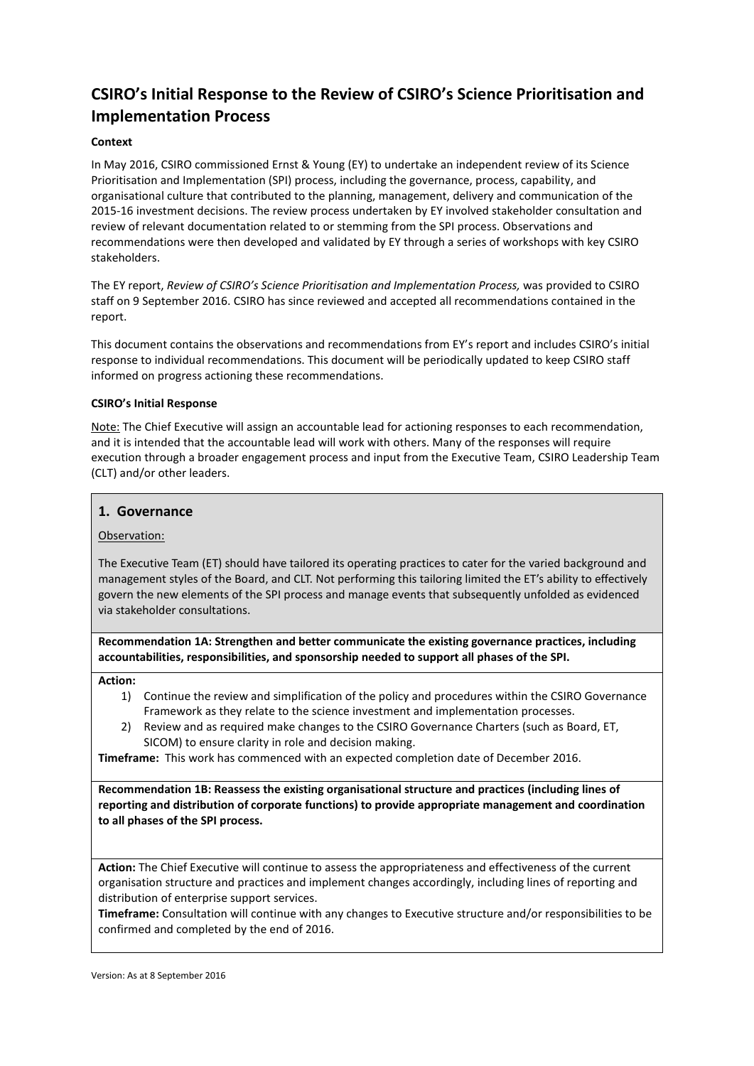# **CSIRO's Initial Response to the Review of CSIRO's Science Prioritisation and Implementation Process**

# **Context**

In May 2016, CSIRO commissioned Ernst & Young (EY) to undertake an independent review of its Science Prioritisation and Implementation (SPI) process, including the governance, process, capability, and organisational culture that contributed to the planning, management, delivery and communication of the 2015-16 investment decisions. The review process undertaken by EY involved stakeholder consultation and review of relevant documentation related to or stemming from the SPI process. Observations and recommendations were then developed and validated by EY through a series of workshops with key CSIRO stakeholders.

The EY report, *Review of CSIRO's Science Prioritisation and Implementation Process,* was provided to CSIRO staff on 9 September 2016. CSIRO has since reviewed and accepted all recommendations contained in the report.

This document contains the observations and recommendations from EY's report and includes CSIRO's initial response to individual recommendations. This document will be periodically updated to keep CSIRO staff informed on progress actioning these recommendations.

## **CSIRO's Initial Response**

Note: The Chief Executive will assign an accountable lead for actioning responses to each recommendation, and it is intended that the accountable lead will work with others. Many of the responses will require execution through a broader engagement process and input from the Executive Team, CSIRO Leadership Team (CLT) and/or other leaders.

## **1. Governance**

## Observation:

The Executive Team (ET) should have tailored its operating practices to cater for the varied background and management styles of the Board, and CLT. Not performing this tailoring limited the ET's ability to effectively govern the new elements of the SPI process and manage events that subsequently unfolded as evidenced via stakeholder consultations.

**Recommendation 1A: Strengthen and better communicate the existing governance practices, including accountabilities, responsibilities, and sponsorship needed to support all phases of the SPI.**

#### **Action:**

- 1) Continue the review and simplification of the policy and procedures within the CSIRO Governance Framework as they relate to the science investment and implementation processes.
- 2) Review and as required make changes to the CSIRO Governance Charters (such as Board, ET, SICOM) to ensure clarity in role and decision making.

**Timeframe:** This work has commenced with an expected completion date of December 2016.

**Recommendation 1B: Reassess the existing organisational structure and practices (including lines of reporting and distribution of corporate functions) to provide appropriate management and coordination to all phases of the SPI process.**

**Action:** The Chief Executive will continue to assess the appropriateness and effectiveness of the current organisation structure and practices and implement changes accordingly, including lines of reporting and distribution of enterprise support services.

**Timeframe:** Consultation will continue with any changes to Executive structure and/or responsibilities to be confirmed and completed by the end of 2016.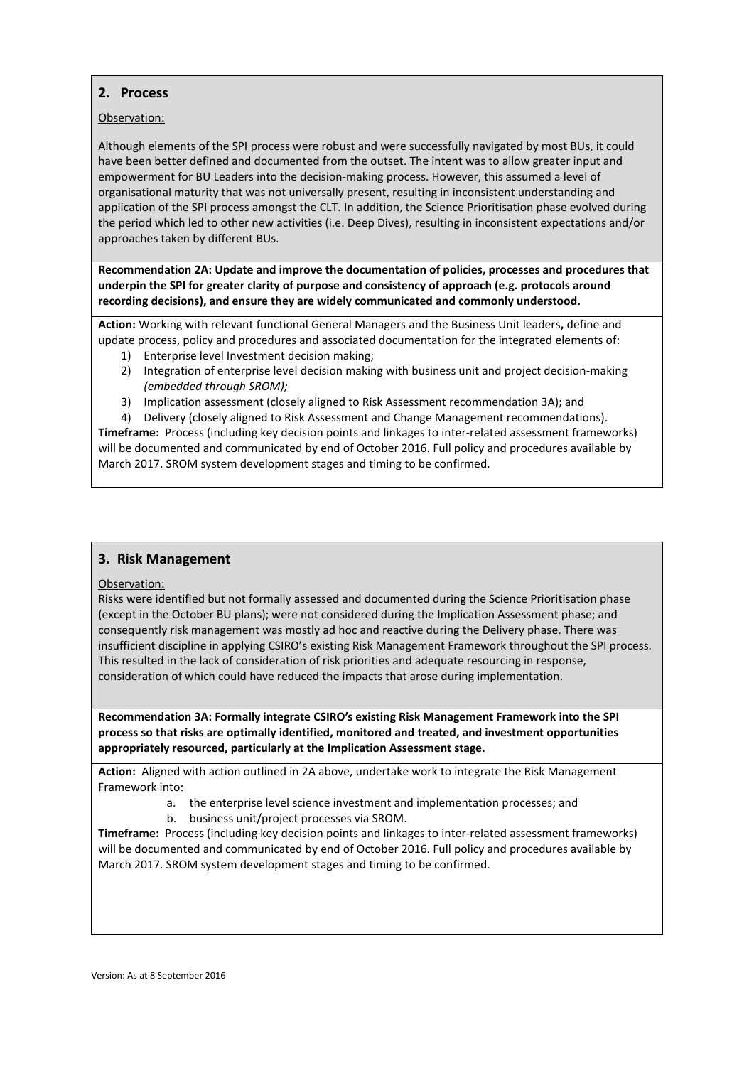# **2. Process**

# Observation:

Although elements of the SPI process were robust and were successfully navigated by most BUs, it could have been better defined and documented from the outset. The intent was to allow greater input and empowerment for BU Leaders into the decision-making process. However, this assumed a level of organisational maturity that was not universally present, resulting in inconsistent understanding and application of the SPI process amongst the CLT. In addition, the Science Prioritisation phase evolved during the period which led to other new activities (i.e. Deep Dives), resulting in inconsistent expectations and/or approaches taken by different BUs.

**Recommendation 2A: Update and improve the documentation of policies, processes and procedures that underpin the SPI for greater clarity of purpose and consistency of approach (e.g. protocols around recording decisions), and ensure they are widely communicated and commonly understood.**

**Action:** Working with relevant functional General Managers and the Business Unit leaders**,** define and update process, policy and procedures and associated documentation for the integrated elements of:

- 1) Enterprise level Investment decision making;
- 2) Integration of enterprise level decision making with business unit and project decision-making *(embedded through SROM);*
- 3) Implication assessment (closely aligned to Risk Assessment recommendation 3A); and
- 4) Delivery (closely aligned to Risk Assessment and Change Management recommendations). **Timeframe:** Process (including key decision points and linkages to inter-related assessment frameworks)

will be documented and communicated by end of October 2016. Full policy and procedures available by March 2017. SROM system development stages and timing to be confirmed.

# **3. Risk Management**

## Observation:

Risks were identified but not formally assessed and documented during the Science Prioritisation phase (except in the October BU plans); were not considered during the Implication Assessment phase; and consequently risk management was mostly ad hoc and reactive during the Delivery phase. There was insufficient discipline in applying CSIRO's existing Risk Management Framework throughout the SPI process. This resulted in the lack of consideration of risk priorities and adequate resourcing in response, consideration of which could have reduced the impacts that arose during implementation.

**Recommendation 3A: Formally integrate CSIRO's existing Risk Management Framework into the SPI process so that risks are optimally identified, monitored and treated, and investment opportunities appropriately resourced, particularly at the Implication Assessment stage.**

**Action:** Aligned with action outlined in 2A above, undertake work to integrate the Risk Management Framework into:

- a. the enterprise level science investment and implementation processes; and
- b. business unit/project processes via SROM.

**Timeframe:** Process (including key decision points and linkages to inter-related assessment frameworks) will be documented and communicated by end of October 2016. Full policy and procedures available by March 2017. SROM system development stages and timing to be confirmed.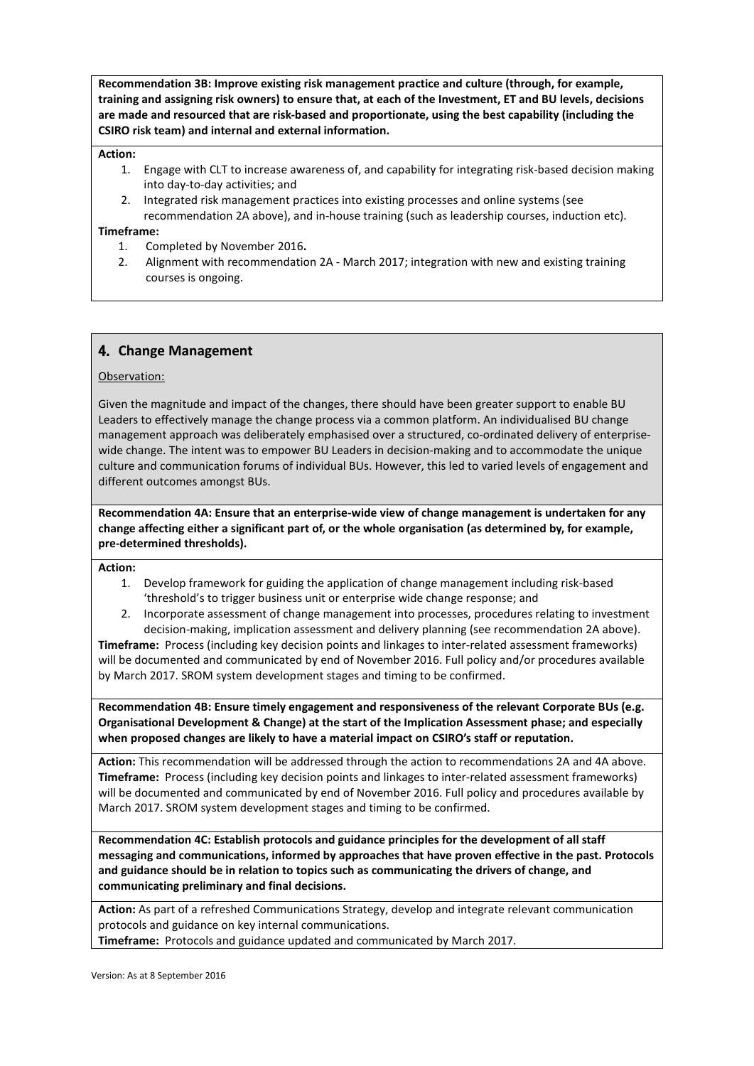**Recommendation 3B: Improve existing risk management practice and culture (through, for example, training and assigning risk owners) to ensure that, at each of the Investment, ET and BU levels, decisions are made and resourced that are risk-based and proportionate, using the best capability (including the CSIRO risk team) and internal and external information.**

#### **Action:**

- 1. Engage with CLT to increase awareness of, and capability for integrating risk-based decision making into day-to-day activities; and
- 2. Integrated risk management practices into existing processes and online systems (see recommendation 2A above), and in-house training (such as leadership courses, induction etc).

#### **Timeframe:**

- 1. Completed by November 2016**.**
- 2. Alignment with recommendation 2A March 2017; integration with new and existing training courses is ongoing.

# 4. **Change Management**

## Observation:

Given the magnitude and impact of the changes, there should have been greater support to enable BU Leaders to effectively manage the change process via a common platform. An individualised BU change management approach was deliberately emphasised over a structured, co-ordinated delivery of enterprisewide change. The intent was to empower BU Leaders in decision-making and to accommodate the unique culture and communication forums of individual BUs. However, this led to varied levels of engagement and different outcomes amongst BUs.

**Recommendation 4A: Ensure that an enterprise-wide view of change management is undertaken for any change affecting either a significant part of, or the whole organisation (as determined by, for example, pre-determined thresholds).**

#### **Action:**

- 1. Develop framework for guiding the application of change management including risk-based 'threshold's to trigger business unit or enterprise wide change response; and
- 2. Incorporate assessment of change management into processes, procedures relating to investment decision-making, implication assessment and delivery planning (see recommendation 2A above).

**Timeframe:** Process (including key decision points and linkages to inter-related assessment frameworks) will be documented and communicated by end of November 2016. Full policy and/or procedures available by March 2017. SROM system development stages and timing to be confirmed.

**Recommendation 4B: Ensure timely engagement and responsiveness of the relevant Corporate BUs (e.g. Organisational Development & Change) at the start of the Implication Assessment phase; and especially when proposed changes are likely to have a material impact on CSIRO's staff or reputation.**

**Action:** This recommendation will be addressed through the action to recommendations 2A and 4A above. **Timeframe:** Process (including key decision points and linkages to inter-related assessment frameworks) will be documented and communicated by end of November 2016. Full policy and procedures available by March 2017. SROM system development stages and timing to be confirmed.

**Recommendation 4C: Establish protocols and guidance principles for the development of all staff messaging and communications, informed by approaches that have proven effective in the past. Protocols and guidance should be in relation to topics such as communicating the drivers of change, and communicating preliminary and final decisions.**

**Action:** As part of a refreshed Communications Strategy, develop and integrate relevant communication protocols and guidance on key internal communications. **Timeframe:** Protocols and guidance updated and communicated by March 2017.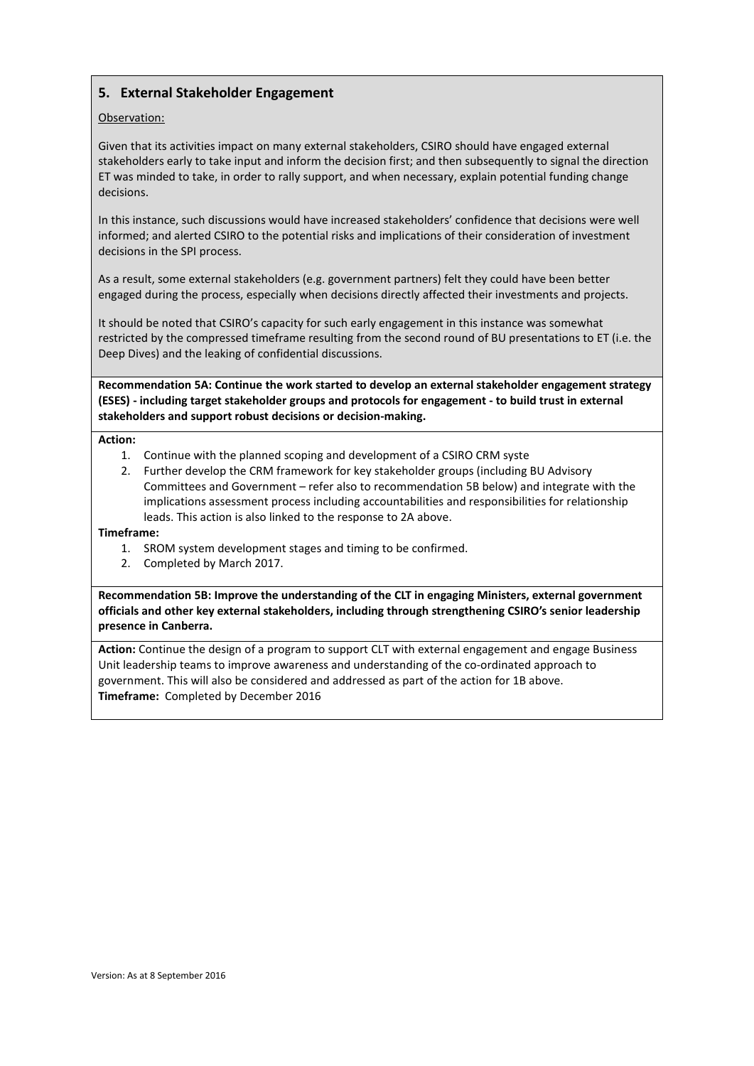# **5. External Stakeholder Engagement**

# Observation:

Given that its activities impact on many external stakeholders, CSIRO should have engaged external stakeholders early to take input and inform the decision first; and then subsequently to signal the direction ET was minded to take, in order to rally support, and when necessary, explain potential funding change decisions.

In this instance, such discussions would have increased stakeholders' confidence that decisions were well informed; and alerted CSIRO to the potential risks and implications of their consideration of investment decisions in the SPI process.

As a result, some external stakeholders (e.g. government partners) felt they could have been better engaged during the process, especially when decisions directly affected their investments and projects.

It should be noted that CSIRO's capacity for such early engagement in this instance was somewhat restricted by the compressed timeframe resulting from the second round of BU presentations to ET (i.e. the Deep Dives) and the leaking of confidential discussions.

**Recommendation 5A: Continue the work started to develop an external stakeholder engagement strategy (ESES) - including target stakeholder groups and protocols for engagement - to build trust in external stakeholders and support robust decisions or decision-making.**

#### **Action:**

- 1. Continue with the planned scoping and development of a CSIRO CRM syste
- 2. Further develop the CRM framework for key stakeholder groups (including BU Advisory Committees and Government – refer also to recommendation 5B below) and integrate with the implications assessment process including accountabilities and responsibilities for relationship leads. This action is also linked to the response to 2A above.

#### **Timeframe:**

- 1. SROM system development stages and timing to be confirmed.
- 2. Completed by March 2017.

**Recommendation 5B: Improve the understanding of the CLT in engaging Ministers, external government officials and other key external stakeholders, including through strengthening CSIRO's senior leadership presence in Canberra.**

**Action:** Continue the design of a program to support CLT with external engagement and engage Business Unit leadership teams to improve awareness and understanding of the co-ordinated approach to government. This will also be considered and addressed as part of the action for 1B above. **Timeframe:** Completed by December 2016